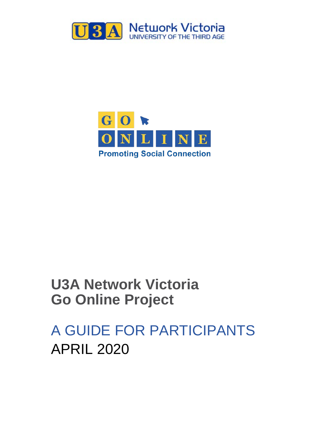



# **U3A Network Victoria Go Online Project**

A GUIDE FOR PARTICIPANTS APRIL 2020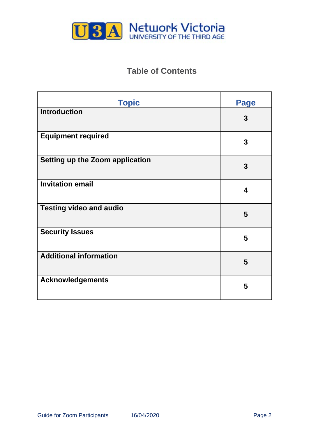

# **Table of Contents**

| <b>Topic</b>                    | <b>Page</b>      |
|---------------------------------|------------------|
| <b>Introduction</b>             | 3                |
| <b>Equipment required</b>       | 3                |
| Setting up the Zoom application | 3                |
| <b>Invitation email</b>         | $\boldsymbol{4}$ |
| <b>Testing video and audio</b>  | 5                |
| <b>Security Issues</b>          | 5                |
| <b>Additional information</b>   | 5                |
| <b>Acknowledgements</b>         | 5                |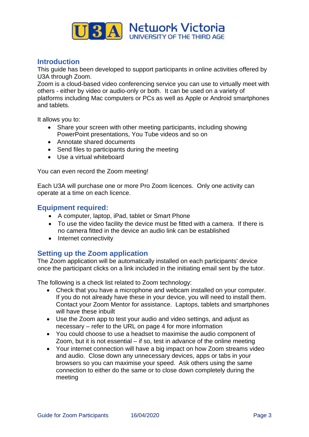

# **Introduction**

This guide has been developed to support participants in online activities offered by U3A through Zoom.

Zoom is a cloud-based video conferencing service you can use to virtually meet with others - either by video or audio-only or both. It can be used on a variety of platforms including Mac computers or PCs as well as Apple or Android smartphones and tablets.

It allows you to:

- Share your screen with other meeting participants, including showing PowerPoint presentations, You Tube videos and so on
- Annotate shared documents
- Send files to participants during the meeting
- Use a virtual whiteboard

You can even record the Zoom meeting!

Each U3A will purchase one or more Pro Zoom licences. Only one activity can operate at a time on each licence.

### **Equipment required:**

- A computer, laptop, iPad, tablet or Smart Phone
- To use the video facility the device must be fitted with a camera. If there is no camera fitted in the device an audio link can be established
- Internet connectivity

# **Setting up the Zoom application**

The Zoom application will be automatically installed on each participants' device once the participant clicks on a link included in the initiating email sent by the tutor.

The following is a check list related to Zoom technology:

- Check that you have a microphone and webcam installed on your computer. If you do not already have these in your device, you will need to install them. Contact your Zoom Mentor for assistance. Laptops, tablets and smartphones will have these inbuilt
- Use the Zoom app to test your audio and video settings, and adjust as necessary – refer to the URL on page 4 for more information
- You could choose to use a headset to maximise the audio component of Zoom, but it is not essential – if so, test in advance of the online meeting
- Your internet connection will have a big impact on how Zoom streams video and audio. Close down any unnecessary devices, apps or tabs in your browsers so you can maximise your speed. Ask others using the same connection to either do the same or to close down completely during the meeting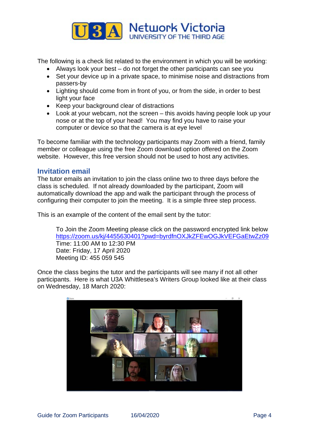

The following is a check list related to the environment in which you will be working:

- Always look your best do not forget the other participants can see you
- Set your device up in a private space, to minimise noise and distractions from passers-by
- Lighting should come from in front of you, or from the side, in order to best light your face
- Keep your background clear of distractions
- Look at your webcam, not the screen this avoids having people look up your nose or at the top of your head! You may find you have to raise your computer or device so that the camera is at eye level

To become familiar with the technology participants may Zoom with a friend, family member or colleague using the free Zoom download option offered on the Zoom website. However, this free version should not be used to host any activities.

# **Invitation email**

The tutor emails an invitation to join the class online two to three days before the class is scheduled. If not already downloaded by the participant, Zoom will automatically download the app and walk the participant through the process of configuring their computer to join the meeting. It is a simple three step process.

This is an example of the content of the email sent by the tutor:

To Join the Zoom Meeting please click on the password encrypted link below <https://zoom.us/kj/4455630401?pwd=byrdfnOXJkZFEwOGJkVEFGaEtwZz09> Time: 11:00 AM to 12:30 PM Date: Friday, 17 April 2020 Meeting ID: 455 059 545

Once the class begins the tutor and the participants will see many if not all other participants. Here is what U3A Whittlesea's Writers Group looked like at their class on Wednesday, 18 March 2020: